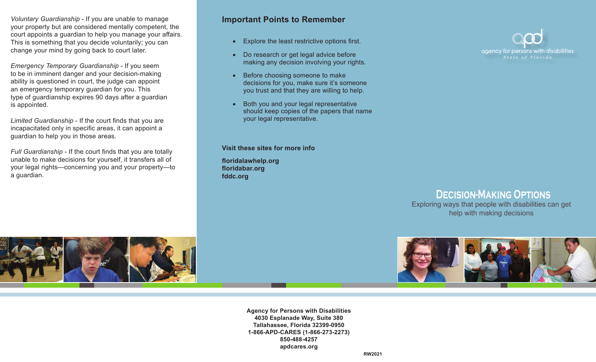*Voluntary Guardianship* - If you are unable to manage your property but are considered mentally competent, the court appoints a guardian to help you manage your affairs. This is something that you decide voluntarily; you can change your mind by going back to court later.

*Emergency Temporary Guardianship* - If you seem to be in imminent danger and your decision-making ability is questioned in court, the judge can appoint an emergency temporary guardian for you. This type of guardianship expires 90 days after a guardian is appointed.

*Limited Guardianship* - If the court finds that you are incapacitated only in specific areas, it can appoint a guardian to help you in those areas.

*Full Guardianship* - If the court finds that you are totally unable to make decisions for yourself, it transfers all of your legal rights—concerning you and your property—to a guardian.

### **Important Points to Remember**

- • Explore the least restrictive options first.
- Do research or get legal advice before making any decision involving your rights.
- Before choosing someone to make decisions for you, make sure it's someone you trust and that they are willing to help.
- Both you and your legal representative should keep copies of the papers that name your legal representative.

**Visit these sites for more info**

**floridalawhelp.org floridabar.org fddc.org**



# **Decision-Making Options**

Exploring ways that people with disabilities can get help with making decisions





**Agency for Persons with Disabilities 4030 Esplanade Way, Suite 380 Tallahassee, Florida 32399-0950 1-866-APD-CARES (1-866-273-2273) 850-488-4257 apdcares.org**